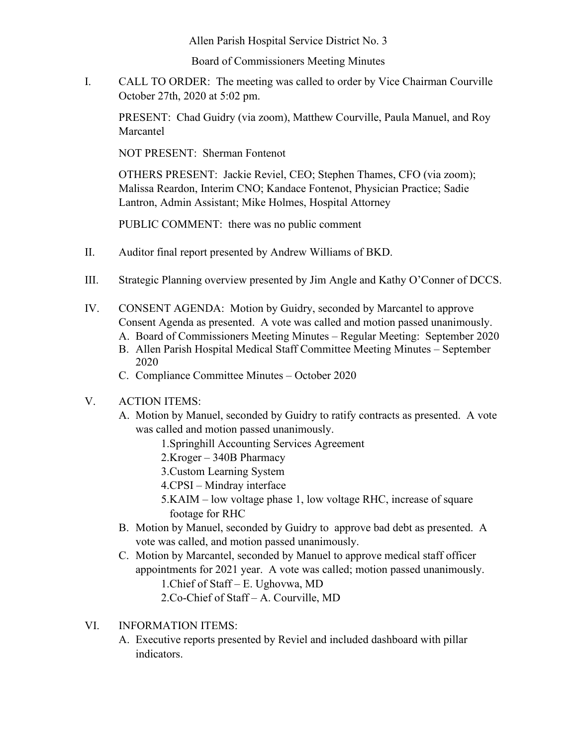Allen Parish Hospital Service District No. 3

Board of Commissioners Meeting Minutes

I. CALL TO ORDER: The meeting was called to order by Vice Chairman Courville October 27th, 2020 at 5:02 pm.

PRESENT: Chad Guidry (via zoom), Matthew Courville, Paula Manuel, and Roy Marcantel

NOT PRESENT: Sherman Fontenot

OTHERS PRESENT: Jackie Reviel, CEO; Stephen Thames, CFO (via zoom); Malissa Reardon, Interim CNO; Kandace Fontenot, Physician Practice; Sadie Lantron, Admin Assistant; Mike Holmes, Hospital Attorney

PUBLIC COMMENT: there was no public comment

- II. Auditor final report presented by Andrew Williams of BKD.
- III. Strategic Planning overview presented by Jim Angle and Kathy O'Conner of DCCS.
- IV. CONSENT AGENDA: Motion by Guidry, seconded by Marcantel to approve Consent Agenda as presented. A vote was called and motion passed unanimously. A. Board of Commissioners Meeting Minutes – Regular Meeting: September 2020
	- B. Allen Parish Hospital Medical Staff Committee Meeting Minutes September 2020
	- C. Compliance Committee Minutes October 2020
- V. ACTION ITEMS:
	- A. Motion by Manuel, seconded by Guidry to ratify contracts as presented. A vote was called and motion passed unanimously.
		- 1.Springhill Accounting Services Agreement
		- 2.Kroger 340B Pharmacy
		- 3.Custom Learning System
		- 4.CPSI Mindray interface
		- 5.KAIM low voltage phase 1, low voltage RHC, increase of square footage for RHC
	- B. Motion by Manuel, seconded by Guidry to approve bad debt as presented. A vote was called, and motion passed unanimously.
	- C. Motion by Marcantel, seconded by Manuel to approve medical staff officer appointments for 2021 year. A vote was called; motion passed unanimously. 1.Chief of Staff – E. Ughovwa, MD
		- 2.Co-Chief of Staff A. Courville, MD
- VI. INFORMATION ITEMS:
	- A. Executive reports presented by Reviel and included dashboard with pillar indicators.